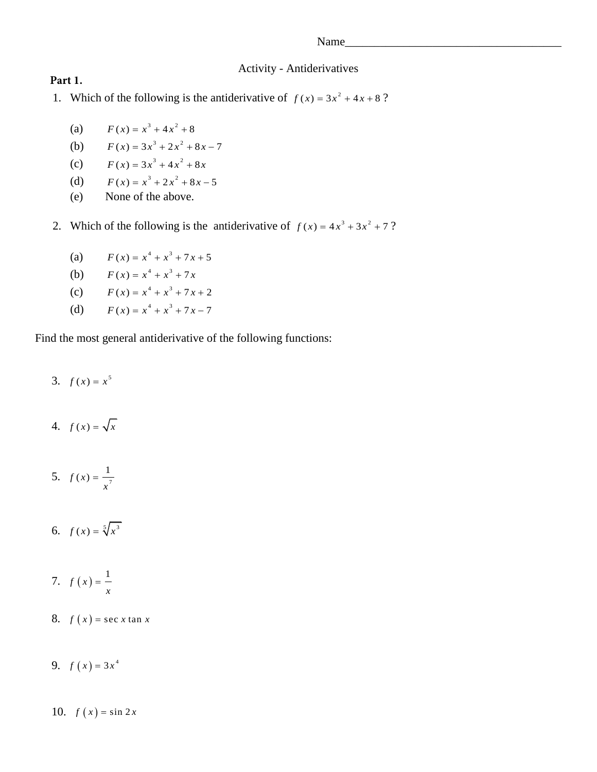## Activity - Antiderivatives

- 1. Which of the following is the antiderivative of  $f(x) = 3x^2 + 4x + 8$ ?
	- (a)  $F(x) = x^3 + 4x^2 + 8$
	- (b)  $F(x) = 3x^3 + 2x^2 + 8x - 7$
	- (c)  $F(x) = 3x^3 + 4x^2 + 8x$
	- (d)  $F(x) = x^3 + 2x^2 + 8x - 5$
	- (e) None of the above.
- 2. Which of the following is the antiderivative of  $f(x) = 4x^3 + 3x^2 + 7$ ?
	- (a)  $F(x) = x^4 + x^3 + 7x + 5$
	- (b)  $F(x) = x^4 + x^3 + 7x$
	- (c)  $F(x) = x^4 + x^3 + 7x + 2$
	- (d)  $F(x) = x^4 + x^3 + 7x - 7$

Find the most general antiderivative of the following functions:

3.  $f(x) = x^5$ 

**Part 1.**

- 4.  $f(x) = \sqrt{x}$
- 5.  $f(x) = \frac{1}{7}$  $f(x) = \frac{1}{x}$ *x*  $=$
- 6.  $f(x) = \sqrt[5]{x^3}$
- 7.  $f(x) = \frac{1}{x}$ *x*  $=$
- 8.  $f(x) = \sec x \tan x$
- 9.  $f(x) = 3x^4$
- 10.  $f(x) = \sin 2x$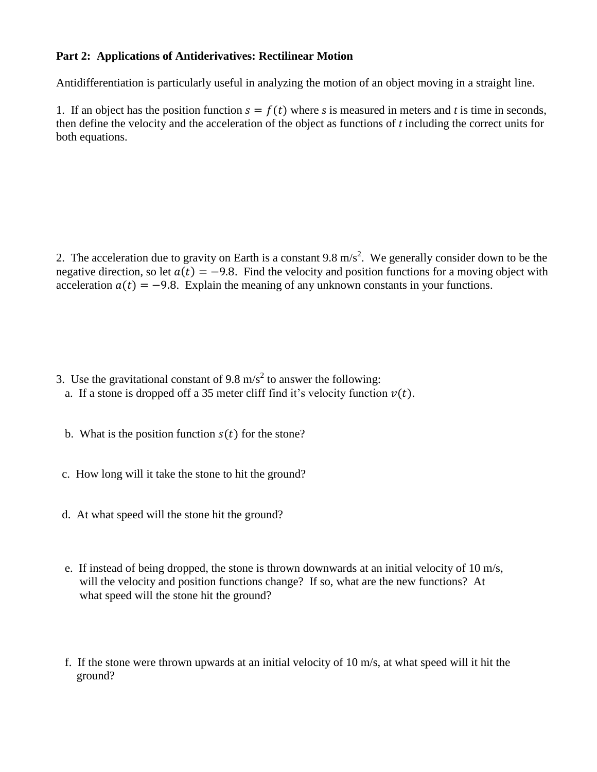## **Part 2: Applications of Antiderivatives: Rectilinear Motion**

Antidifferentiation is particularly useful in analyzing the motion of an object moving in a straight line.

1. If an object has the position function  $s = f(t)$  where *s* is measured in meters and *t* is time in seconds, then define the velocity and the acceleration of the object as functions of *t* including the correct units for both equations.

2. The acceleration due to gravity on Earth is a constant 9.8 m/s<sup>2</sup>. We generally consider down to be the negative direction, so let  $a(t) = -9.8$ . Find the velocity and position functions for a moving object with acceleration  $a(t) = -9.8$ . Explain the meaning of any unknown constants in your functions.

- 3. Use the gravitational constant of 9.8 m/s<sup>2</sup> to answer the following:
	- a. If a stone is dropped off a 35 meter cliff find it's velocity function  $v(t)$ .
	- b. What is the position function  $s(t)$  for the stone?
- c. How long will it take the stone to hit the ground?
- d. At what speed will the stone hit the ground?
- e. If instead of being dropped, the stone is thrown downwards at an initial velocity of 10 m/s, will the velocity and position functions change? If so, what are the new functions? At what speed will the stone hit the ground?
- f. If the stone were thrown upwards at an initial velocity of 10 m/s, at what speed will it hit the ground?